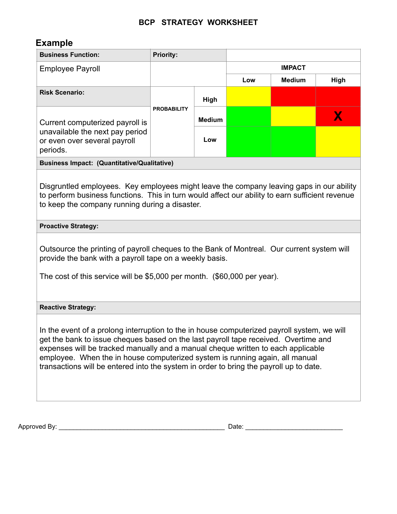## **BCP STRATEGY WORKSHEET**

## **Example**

| <b>Business Function:</b>                                                                                                                                                                                                                                                                                                                                                                                                                        | <b>Priority:</b>   |               |               |               |      |  |  |  |  |
|--------------------------------------------------------------------------------------------------------------------------------------------------------------------------------------------------------------------------------------------------------------------------------------------------------------------------------------------------------------------------------------------------------------------------------------------------|--------------------|---------------|---------------|---------------|------|--|--|--|--|
| <b>Employee Payroll</b>                                                                                                                                                                                                                                                                                                                                                                                                                          |                    |               | <b>IMPACT</b> |               |      |  |  |  |  |
|                                                                                                                                                                                                                                                                                                                                                                                                                                                  |                    |               | Low           | <b>Medium</b> | High |  |  |  |  |
| <b>Risk Scenario:</b>                                                                                                                                                                                                                                                                                                                                                                                                                            | <b>PROBABILITY</b> | High          |               |               |      |  |  |  |  |
| Current computerized payroll is<br>unavailable the next pay period<br>or even over several payroll<br>periods.                                                                                                                                                                                                                                                                                                                                   |                    | <b>Medium</b> |               |               | X    |  |  |  |  |
|                                                                                                                                                                                                                                                                                                                                                                                                                                                  |                    | Low           |               |               |      |  |  |  |  |
| <b>Business Impact: (Quantitative/Qualitative)</b>                                                                                                                                                                                                                                                                                                                                                                                               |                    |               |               |               |      |  |  |  |  |
| Disgruntled employees. Key employees might leave the company leaving gaps in our ability<br>to perform business functions. This in turn would affect our ability to earn sufficient revenue<br>to keep the company running during a disaster.                                                                                                                                                                                                    |                    |               |               |               |      |  |  |  |  |
| <b>Proactive Strategy:</b>                                                                                                                                                                                                                                                                                                                                                                                                                       |                    |               |               |               |      |  |  |  |  |
| Outsource the printing of payroll cheques to the Bank of Montreal. Our current system will<br>provide the bank with a payroll tape on a weekly basis.<br>The cost of this service will be \$5,000 per month. (\$60,000 per year).                                                                                                                                                                                                                |                    |               |               |               |      |  |  |  |  |
| <b>Reactive Strategy:</b>                                                                                                                                                                                                                                                                                                                                                                                                                        |                    |               |               |               |      |  |  |  |  |
| In the event of a prolong interruption to the in house computerized payroll system, we will<br>get the bank to issue cheques based on the last payroll tape received. Overtime and<br>expenses will be tracked manually and a manual cheque written to each applicable<br>employee. When the in house computerized system is running again, all manual<br>transactions will be entered into the system in order to bring the payroll up to date. |                    |               |               |               |      |  |  |  |  |

Approved By: \_\_\_\_\_\_\_\_\_\_\_\_\_\_\_\_\_\_\_\_\_\_\_\_\_\_\_\_\_\_\_\_\_\_\_\_\_\_\_\_\_\_\_\_\_\_ Date: \_\_\_\_\_\_\_\_\_\_\_\_\_\_\_\_\_\_\_\_\_\_\_\_\_\_\_